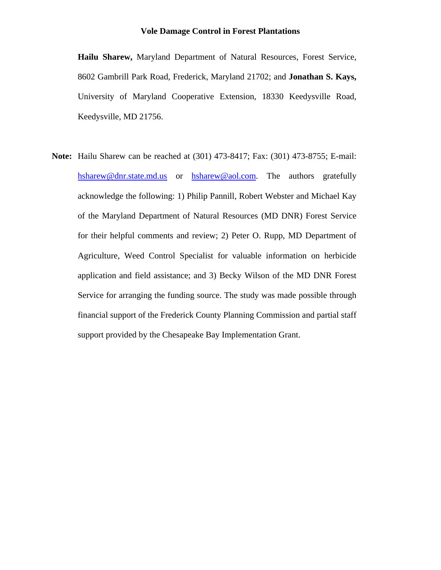**Hailu Sharew,** Maryland Department of Natural Resources, Forest Service, 8602 Gambrill Park Road, Frederick, Maryland 21702; and **Jonathan S. Kays,** University of Maryland Cooperative Extension, 18330 Keedysville Road, Keedysville, MD 21756.

**Note:** Hailu Sharew can be reached at (301) 473-8417; Fax: (301) 473-8755; E-mail: hsharew@dnr.state.md.us or hsharew@aol.com. The authors gratefully acknowledge the following: 1) Philip Pannill, Robert Webster and Michael Kay of the Maryland Department of Natural Resources (MD DNR) Forest Service for their helpful comments and review; 2) Peter O. Rupp, MD Department of Agriculture, Weed Control Specialist for valuable information on herbicide application and field assistance; and 3) Becky Wilson of the MD DNR Forest Service for arranging the funding source. The study was made possible through financial support of the Frederick County Planning Commission and partial staff support provided by the Chesapeake Bay Implementation Grant.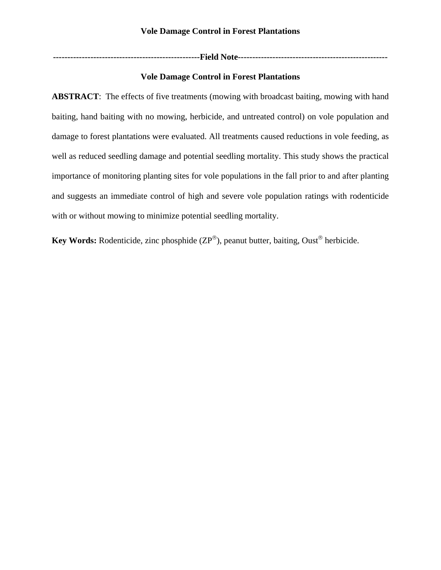**---------------------------------------------------Field Note----------------------------------------------------** 

# **Vole Damage Control in Forest Plantations**

**ABSTRACT**: The effects of five treatments (mowing with broadcast baiting, mowing with hand baiting, hand baiting with no mowing, herbicide, and untreated control) on vole population and damage to forest plantations were evaluated. All treatments caused reductions in vole feeding, as well as reduced seedling damage and potential seedling mortality. This study shows the practical importance of monitoring planting sites for vole populations in the fall prior to and after planting and suggests an immediate control of high and severe vole population ratings with rodenticide with or without mowing to minimize potential seedling mortality.

**Key Words:** Rodenticide, zinc phosphide (ZP®), peanut butter, baiting, Oust<sup>®</sup> herbicide.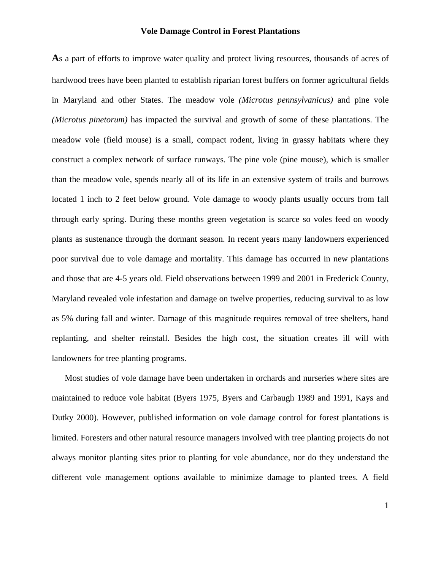As a part of efforts to improve water quality and protect living resources, thousands of acres of hardwood trees have been planted to establish riparian forest buffers on former agricultural fields in Maryland and other States. The meadow vole *(Microtus pennsylvanicus)* and pine vole *(Microtus pinetorum)* has impacted the survival and growth of some of these plantations. The meadow vole (field mouse) is a small, compact rodent, living in grassy habitats where they construct a complex network of surface runways. The pine vole (pine mouse), which is smaller than the meadow vole, spends nearly all of its life in an extensive system of trails and burrows located 1 inch to 2 feet below ground. Vole damage to woody plants usually occurs from fall through early spring. During these months green vegetation is scarce so voles feed on woody plants as sustenance through the dormant season. In recent years many landowners experienced poor survival due to vole damage and mortality. This damage has occurred in new plantations and those that are 4-5 years old. Field observations between 1999 and 2001 in Frederick County, Maryland revealed vole infestation and damage on twelve properties, reducing survival to as low as 5% during fall and winter. Damage of this magnitude requires removal of tree shelters, hand replanting, and shelter reinstall. Besides the high cost, the situation creates ill will with landowners for tree planting programs.

Most studies of vole damage have been undertaken in orchards and nurseries where sites are maintained to reduce vole habitat (Byers 1975, Byers and Carbaugh 1989 and 1991, Kays and Dutky 2000). However, published information on vole damage control for forest plantations is limited. Foresters and other natural resource managers involved with tree planting projects do not always monitor planting sites prior to planting for vole abundance, nor do they understand the different vole management options available to minimize damage to planted trees. A field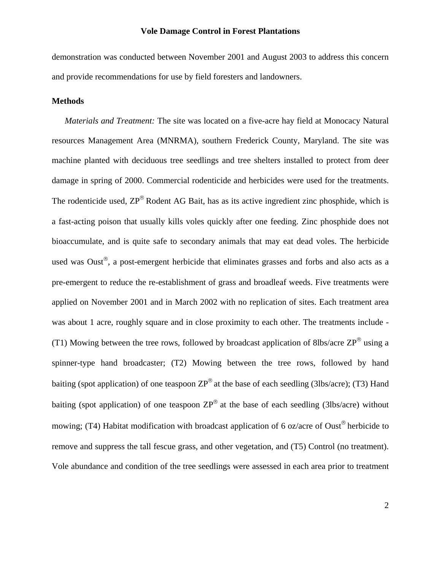demonstration was conducted between November 2001 and August 2003 to address this concern and provide recommendations for use by field foresters and landowners.

## **Methods**

*Materials and Treatment:* The site was located on a five-acre hay field at Monocacy Natural resources Management Area (MNRMA), southern Frederick County, Maryland. The site was machine planted with deciduous tree seedlings and tree shelters installed to protect from deer damage in spring of 2000. Commercial rodenticide and herbicides were used for the treatments. The rodenticide used,  $\text{ZP}^{\circledast}$  Rodent AG Bait, has as its active ingredient zinc phosphide, which is a fast-acting poison that usually kills voles quickly after one feeding. Zinc phosphide does not bioaccumulate, and is quite safe to secondary animals that may eat dead voles. The herbicide used was Oust<sup>®</sup>, a post-emergent herbicide that eliminates grasses and forbs and also acts as a pre-emergent to reduce the re-establishment of grass and broadleaf weeds. Five treatments were applied on November 2001 and in March 2002 with no replication of sites. Each treatment area was about 1 acre, roughly square and in close proximity to each other. The treatments include - (T1) Mowing between the tree rows, followed by broadcast application of 8lbs/acre  $\text{ZP}^{\text{\textcircled{e}}}$  using a spinner-type hand broadcaster; (T2) Mowing between the tree rows, followed by hand baiting (spot application) of one teaspoon  $\text{ZP}^{\textcircled{e}}$  at the base of each seedling (3lbs/acre); (T3) Hand baiting (spot application) of one teaspoon  $\text{ZP}^{\circledcirc}$  at the base of each seedling (3lbs/acre) without mowing; (T4) Habitat modification with broadcast application of 6 oz/acre of Oust<sup>®</sup> herbicide to remove and suppress the tall fescue grass, and other vegetation, and (T5) Control (no treatment). Vole abundance and condition of the tree seedlings were assessed in each area prior to treatment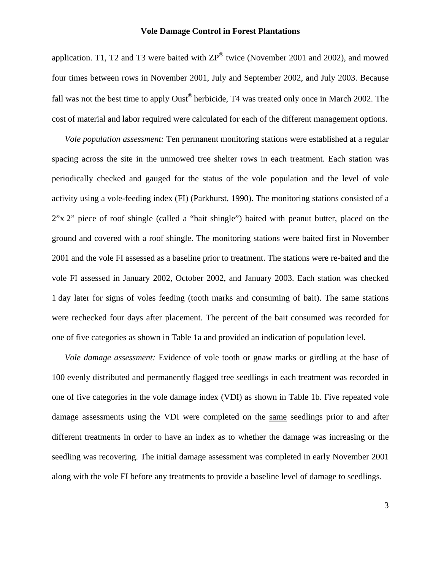application. T1, T2 and T3 were baited with  $\text{ZP}^{\textcircled{}}$  twice (November 2001 and 2002), and mowed four times between rows in November 2001, July and September 2002, and July 2003. Because fall was not the best time to apply Oust<sup>®</sup> herbicide, T4 was treated only once in March 2002. The cost of material and labor required were calculated for each of the different management options.

*Vole population assessment:* Ten permanent monitoring stations were established at a regular spacing across the site in the unmowed tree shelter rows in each treatment. Each station was periodically checked and gauged for the status of the vole population and the level of vole activity using a vole-feeding index (FI) (Parkhurst, 1990). The monitoring stations consisted of a 2"x 2" piece of roof shingle (called a "bait shingle") baited with peanut butter, placed on the ground and covered with a roof shingle. The monitoring stations were baited first in November 2001 and the vole FI assessed as a baseline prior to treatment. The stations were re-baited and the vole FI assessed in January 2002, October 2002, and January 2003. Each station was checked 1 day later for signs of voles feeding (tooth marks and consuming of bait). The same stations were rechecked four days after placement. The percent of the bait consumed was recorded for one of five categories as shown in Table 1a and provided an indication of population level.

*Vole damage assessment:* Evidence of vole tooth or gnaw marks or girdling at the base of 100 evenly distributed and permanently flagged tree seedlings in each treatment was recorded in one of five categories in the vole damage index (VDI) as shown in Table 1b. Five repeated vole damage assessments using the VDI were completed on the same seedlings prior to and after different treatments in order to have an index as to whether the damage was increasing or the seedling was recovering. The initial damage assessment was completed in early November 2001 along with the vole FI before any treatments to provide a baseline level of damage to seedlings.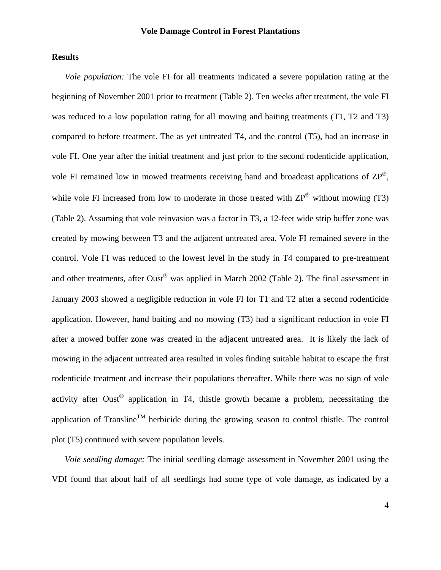## **Results**

*Vole population:* The vole FI for all treatments indicated a severe population rating at the beginning of November 2001 prior to treatment (Table 2). Ten weeks after treatment, the vole FI was reduced to a low population rating for all mowing and baiting treatments (T1, T2 and T3) compared to before treatment. The as yet untreated T4, and the control (T5), had an increase in vole FI. One year after the initial treatment and just prior to the second rodenticide application, vole FI remained low in mowed treatments receiving hand and broadcast applications of ZP®, while vole FI increased from low to moderate in those treated with  $\text{ZP}^{\textcircled{\tiny{\text{R}}}}$  without mowing (T3) (Table 2). Assuming that vole reinvasion was a factor in T3, a 12-feet wide strip buffer zone was created by mowing between T3 and the adjacent untreated area. Vole FI remained severe in the control. Vole FI was reduced to the lowest level in the study in T4 compared to pre-treatment and other treatments, after Oust<sup>®</sup> was applied in March 2002 (Table 2). The final assessment in January 2003 showed a negligible reduction in vole FI for T1 and T2 after a second rodenticide application. However, hand baiting and no mowing (T3) had a significant reduction in vole FI after a mowed buffer zone was created in the adjacent untreated area. It is likely the lack of mowing in the adjacent untreated area resulted in voles finding suitable habitat to escape the first rodenticide treatment and increase their populations thereafter. While there was no sign of vole activity after Oust® application in T4, thistle growth became a problem, necessitating the application of Transline<sup>TM</sup> herbicide during the growing season to control thistle. The control plot (T5) continued with severe population levels.

*Vole seedling damage:* The initial seedling damage assessment in November 2001 using the VDI found that about half of all seedlings had some type of vole damage, as indicated by a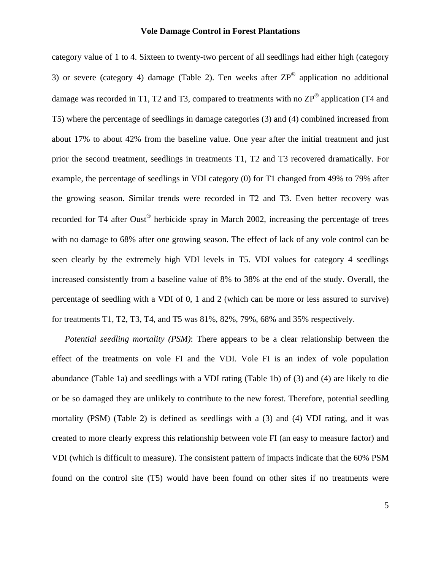category value of 1 to 4. Sixteen to twenty-two percent of all seedlings had either high (category 3) or severe (category 4) damage (Table 2). Ten weeks after  $\text{ZP}^{\circledcirc}$  application no additional damage was recorded in T1, T2 and T3, compared to treatments with no  $\text{ZP}^{\textcircled{e}}$  application (T4 and T5) where the percentage of seedlings in damage categories (3) and (4) combined increased from about 17% to about 42% from the baseline value. One year after the initial treatment and just prior the second treatment, seedlings in treatments T1, T2 and T3 recovered dramatically. For example, the percentage of seedlings in VDI category (0) for T1 changed from 49% to 79% after the growing season. Similar trends were recorded in T2 and T3. Even better recovery was recorded for T4 after Oust<sup>®</sup> herbicide spray in March 2002, increasing the percentage of trees with no damage to 68% after one growing season. The effect of lack of any vole control can be seen clearly by the extremely high VDI levels in T5. VDI values for category 4 seedlings increased consistently from a baseline value of 8% to 38% at the end of the study. Overall, the percentage of seedling with a VDI of 0, 1 and 2 (which can be more or less assured to survive) for treatments T1, T2, T3, T4, and T5 was 81%, 82%, 79%, 68% and 35% respectively.

*Potential seedling mortality (PSM)*: There appears to be a clear relationship between the effect of the treatments on vole FI and the VDI. Vole FI is an index of vole population abundance (Table 1a) and seedlings with a VDI rating (Table 1b) of (3) and (4) are likely to die or be so damaged they are unlikely to contribute to the new forest. Therefore, potential seedling mortality (PSM) (Table 2) is defined as seedlings with a (3) and (4) VDI rating, and it was created to more clearly express this relationship between vole FI (an easy to measure factor) and VDI (which is difficult to measure). The consistent pattern of impacts indicate that the 60% PSM found on the control site (T5) would have been found on other sites if no treatments were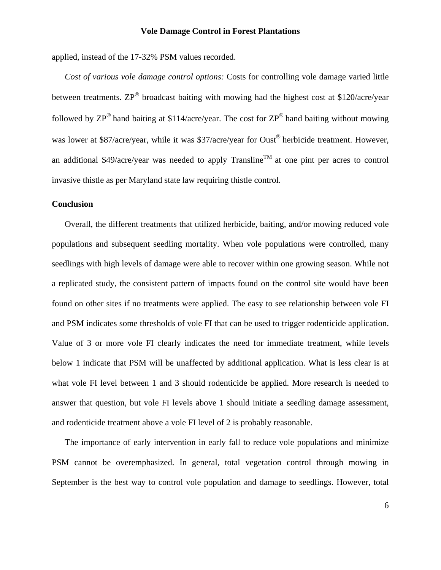applied, instead of the 17-32% PSM values recorded.

*Cost of various vole damage control options:* Costs for controlling vole damage varied little between treatments.  $\text{ZP}^{\text{\textcircled{e}}}$  broadcast baiting with mowing had the highest cost at \$120/acre/year followed by  $\text{ZP}^{\circledast}$  hand baiting at \$114/acre/year. The cost for  $\text{ZP}^{\circledast}$  hand baiting without mowing was lower at \$87/acre/year, while it was \$37/acre/year for Oust<sup>®</sup> herbicide treatment. However, an additional \$49/acre/year was needed to apply Transline<sup>TM</sup> at one pint per acres to control invasive thistle as per Maryland state law requiring thistle control.

## **Conclusion**

Overall, the different treatments that utilized herbicide, baiting, and/or mowing reduced vole populations and subsequent seedling mortality. When vole populations were controlled, many seedlings with high levels of damage were able to recover within one growing season. While not a replicated study, the consistent pattern of impacts found on the control site would have been found on other sites if no treatments were applied. The easy to see relationship between vole FI and PSM indicates some thresholds of vole FI that can be used to trigger rodenticide application. Value of 3 or more vole FI clearly indicates the need for immediate treatment, while levels below 1 indicate that PSM will be unaffected by additional application. What is less clear is at what vole FI level between 1 and 3 should rodenticide be applied. More research is needed to answer that question, but vole FI levels above 1 should initiate a seedling damage assessment, and rodenticide treatment above a vole FI level of 2 is probably reasonable.

The importance of early intervention in early fall to reduce vole populations and minimize PSM cannot be overemphasized. In general, total vegetation control through mowing in September is the best way to control vole population and damage to seedlings. However, total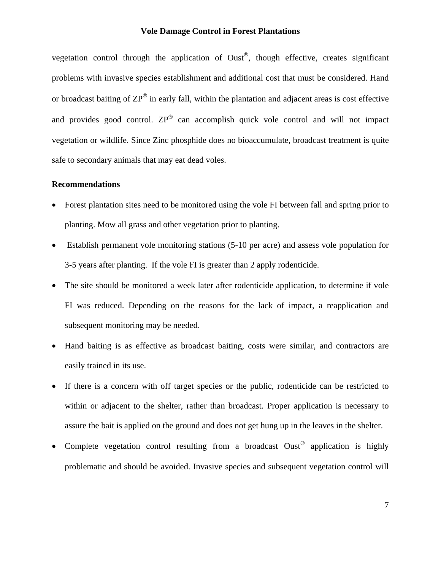vegetation control through the application of Oust®, though effective, creates significant problems with invasive species establishment and additional cost that must be considered. Hand or broadcast baiting of  $\text{ZP}^{\circledast}$  in early fall, within the plantation and adjacent areas is cost effective and provides good control.  $\text{ZP}^{\circledcirc}$  can accomplish quick vole control and will not impact vegetation or wildlife. Since Zinc phosphide does no bioaccumulate, broadcast treatment is quite safe to secondary animals that may eat dead voles.

#### **Recommendations**

- Forest plantation sites need to be monitored using the vole FI between fall and spring prior to planting. Mow all grass and other vegetation prior to planting.
- Establish permanent vole monitoring stations (5-10 per acre) and assess vole population for 3-5 years after planting. If the vole FI is greater than 2 apply rodenticide.
- The site should be monitored a week later after rodenticide application, to determine if vole FI was reduced. Depending on the reasons for the lack of impact, a reapplication and subsequent monitoring may be needed.
- Hand baiting is as effective as broadcast baiting, costs were similar, and contractors are easily trained in its use.
- If there is a concern with off target species or the public, rodenticide can be restricted to within or adjacent to the shelter, rather than broadcast. Proper application is necessary to assure the bait is applied on the ground and does not get hung up in the leaves in the shelter.
- Complete vegetation control resulting from a broadcast  $Oust^\circ$  application is highly problematic and should be avoided. Invasive species and subsequent vegetation control will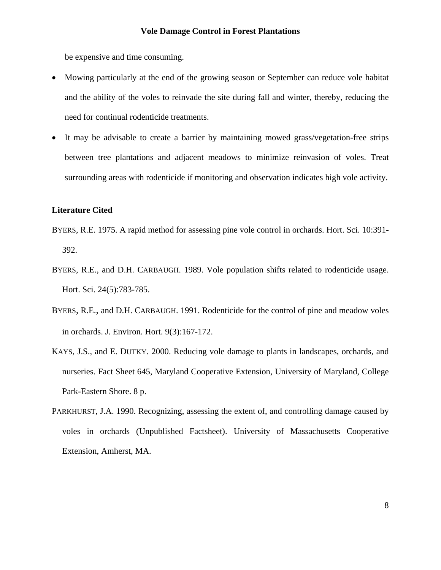be expensive and time consuming.

- Mowing particularly at the end of the growing season or September can reduce vole habitat and the ability of the voles to reinvade the site during fall and winter, thereby, reducing the need for continual rodenticide treatments.
- It may be advisable to create a barrier by maintaining mowed grass/vegetation-free strips between tree plantations and adjacent meadows to minimize reinvasion of voles. Treat surrounding areas with rodenticide if monitoring and observation indicates high vole activity.

### **Literature Cited**

- BYERS, R.E. 1975. A rapid method for assessing pine vole control in orchards. Hort. Sci. 10:391- 392.
- BYERS, R.E., and D.H. CARBAUGH. 1989. Vole population shifts related to rodenticide usage. Hort. Sci. 24(5):783-785.
- BYERS, R.E., and D.H. CARBAUGH. 1991. Rodenticide for the control of pine and meadow voles in orchards. J. Environ. Hort. 9(3):167-172.
- KAYS, J.S., and E. DUTKY. 2000. Reducing vole damage to plants in landscapes, orchards, and nurseries. Fact Sheet 645, Maryland Cooperative Extension, University of Maryland, College Park-Eastern Shore. 8 p.
- PARKHURST, J.A. 1990. Recognizing, assessing the extent of, and controlling damage caused by voles in orchards (Unpublished Factsheet). University of Massachusetts Cooperative Extension, Amherst, MA.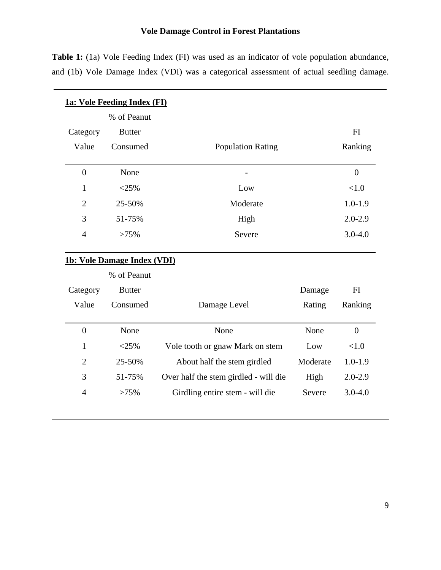Table 1: (1a) Vole Feeding Index (FI) was used as an indicator of vole population abundance, and (1b) Vole Damage Index (VDI) was a categorical assessment of actual seedling damage.

| 1a: Vole Feeding Index (FI)        |               |                                       |             |                |  |  |  |  |  |  |  |  |
|------------------------------------|---------------|---------------------------------------|-------------|----------------|--|--|--|--|--|--|--|--|
|                                    | % of Peanut   |                                       |             |                |  |  |  |  |  |  |  |  |
| Category                           | <b>Butter</b> |                                       |             | FI             |  |  |  |  |  |  |  |  |
| Value                              | Consumed      | <b>Population Rating</b>              |             | Ranking        |  |  |  |  |  |  |  |  |
| $\overline{0}$                     | None          |                                       |             | $\overline{0}$ |  |  |  |  |  |  |  |  |
| $\mathbf{1}$                       | $<$ 25%       | Low                                   | < 1.0       |                |  |  |  |  |  |  |  |  |
| $\overline{2}$                     | 25-50%        | Moderate                              | $1.0 - 1.9$ |                |  |  |  |  |  |  |  |  |
| 3                                  | 51-75%        | High                                  | $2.0 - 2.9$ |                |  |  |  |  |  |  |  |  |
| $\overline{4}$                     | >75%          | Severe                                |             |                |  |  |  |  |  |  |  |  |
| <b>1b: Vole Damage Index (VDI)</b> |               |                                       |             |                |  |  |  |  |  |  |  |  |
|                                    | % of Peanut   |                                       |             |                |  |  |  |  |  |  |  |  |
| Category                           | <b>Butter</b> |                                       | Damage      | FI             |  |  |  |  |  |  |  |  |
| Value                              | Consumed      | Damage Level                          | Rating      | Ranking        |  |  |  |  |  |  |  |  |
| $\overline{0}$                     | None          | None                                  | None        | $\overline{0}$ |  |  |  |  |  |  |  |  |
| $\mathbf{1}$                       | $<$ 25%       | Vole tooth or gnaw Mark on stem       | < 1.0       |                |  |  |  |  |  |  |  |  |
| $\overline{2}$                     | 25-50%        | About half the stem girdled           | $1.0 - 1.9$ |                |  |  |  |  |  |  |  |  |
| 3                                  | 51-75%        | Over half the stem girdled - will die | $2.0 - 2.9$ |                |  |  |  |  |  |  |  |  |
| $\overline{4}$                     | >75%          | Girdling entire stem - will die       | Severe      | $3.0 - 4.0$    |  |  |  |  |  |  |  |  |